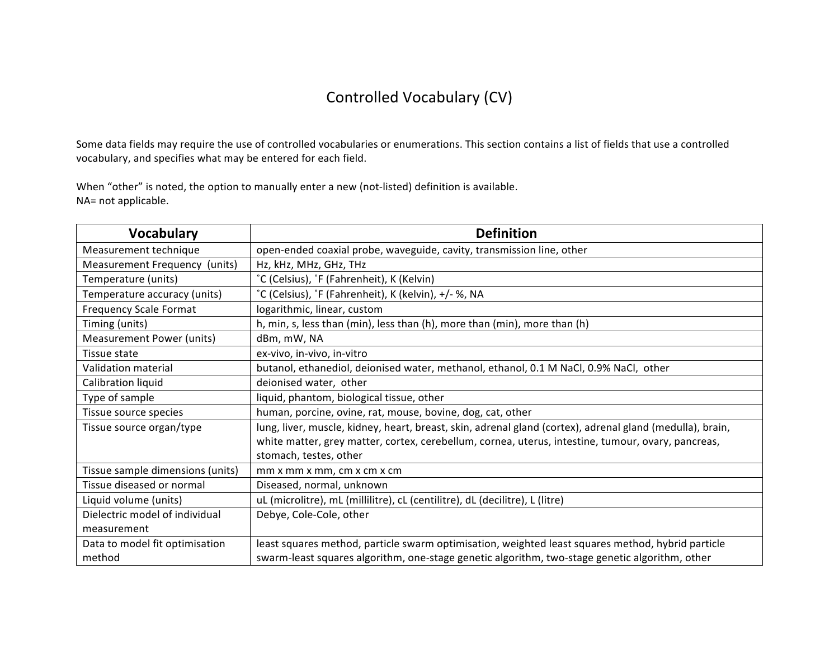## Controlled Vocabulary (CV)

Some data fields may require the use of controlled vocabularies or enumerations. This section contains a list of fields that use a controlled vocabulary, and specifies what may be entered for each field.

When "other" is noted, the option to manually enter a new (not-listed) definition is available. NA= not applicable.

| <b>Vocabulary</b>                | <b>Definition</b>                                                                                         |
|----------------------------------|-----------------------------------------------------------------------------------------------------------|
| Measurement technique            | open-ended coaxial probe, waveguide, cavity, transmission line, other                                     |
| Measurement Frequency (units)    | Hz, kHz, MHz, GHz, THz                                                                                    |
| Temperature (units)              | °C (Celsius), °F (Fahrenheit), K (Kelvin)                                                                 |
| Temperature accuracy (units)     | °C (Celsius), °F (Fahrenheit), K (kelvin), +/- %, NA                                                      |
| <b>Frequency Scale Format</b>    | logarithmic, linear, custom                                                                               |
| Timing (units)                   | h, min, s, less than (min), less than (h), more than (min), more than (h)                                 |
| <b>Measurement Power (units)</b> | dBm, mW, NA                                                                                               |
| Tissue state                     | ex-vivo, in-vivo, in-vitro                                                                                |
| Validation material              | butanol, ethanediol, deionised water, methanol, ethanol, 0.1 M NaCl, 0.9% NaCl, other                     |
| Calibration liquid               | deionised water, other                                                                                    |
| Type of sample                   | liquid, phantom, biological tissue, other                                                                 |
| Tissue source species            | human, porcine, ovine, rat, mouse, bovine, dog, cat, other                                                |
| Tissue source organ/type         | lung, liver, muscle, kidney, heart, breast, skin, adrenal gland (cortex), adrenal gland (medulla), brain, |
|                                  | white matter, grey matter, cortex, cerebellum, cornea, uterus, intestine, tumour, ovary, pancreas,        |
|                                  | stomach, testes, other                                                                                    |
| Tissue sample dimensions (units) | mm x mm x mm, cm x cm x cm                                                                                |
| Tissue diseased or normal        | Diseased, normal, unknown                                                                                 |
| Liquid volume (units)            | uL (microlitre), mL (millilitre), cL (centilitre), dL (decilitre), L (litre)                              |
| Dielectric model of individual   | Debye, Cole-Cole, other                                                                                   |
| measurement                      |                                                                                                           |
| Data to model fit optimisation   | least squares method, particle swarm optimisation, weighted least squares method, hybrid particle         |
| method                           | swarm-least squares algorithm, one-stage genetic algorithm, two-stage genetic algorithm, other            |